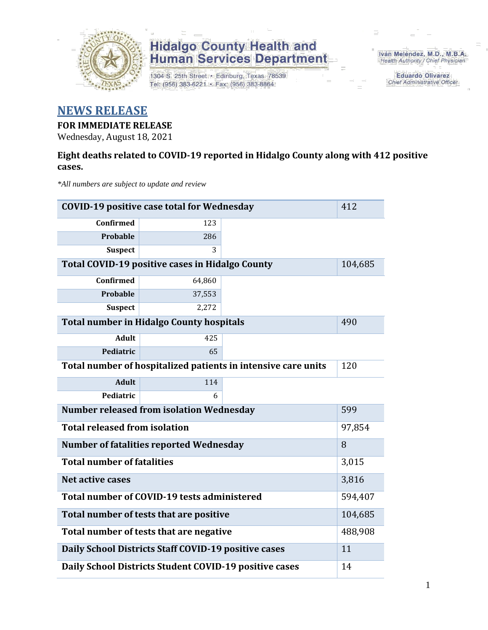

1304 S. 25th Street · Edinburg, Texas 78539 Tel: (956) 383-6221 · Fax: (956) 383-8864

Iván Meléndez, M.D., M.B.A. Health Authority / Chief Physician

> **Eduardo Olivarez Chief Administrative Officer**

### **NEWS RELEASE**

#### **FOR IMMEDIATE RELEASE**

Wednesday, August 18, 2021

#### **Eight deaths related to COVID-19 reported in Hidalgo County along with 412 positive cases.**

*\*All numbers are subject to update and review*

| <b>COVID-19 positive case total for Wednesday</b>             |                                                      | 412     |         |
|---------------------------------------------------------------|------------------------------------------------------|---------|---------|
| <b>Confirmed</b>                                              | 123                                                  |         |         |
| <b>Probable</b>                                               | 286                                                  |         |         |
| <b>Suspect</b>                                                | 3                                                    |         |         |
|                                                               | Total COVID-19 positive cases in Hidalgo County      |         | 104,685 |
| <b>Confirmed</b>                                              | 64,860                                               |         |         |
| <b>Probable</b>                                               | 37,553                                               |         |         |
| <b>Suspect</b>                                                | 2,272                                                |         |         |
|                                                               | <b>Total number in Hidalgo County hospitals</b>      |         | 490     |
| <b>Adult</b>                                                  | 425                                                  |         |         |
| Pediatric                                                     | 65                                                   |         |         |
| Total number of hospitalized patients in intensive care units | 120                                                  |         |         |
| <b>Adult</b>                                                  | 114                                                  |         |         |
| Pediatric                                                     | 6                                                    |         |         |
| <b>Number released from isolation Wednesday</b>               |                                                      | 599     |         |
| <b>Total released from isolation</b>                          |                                                      | 97,854  |         |
| <b>Number of fatalities reported Wednesday</b>                |                                                      | 8       |         |
| <b>Total number of fatalities</b>                             |                                                      |         | 3,015   |
| <b>Net active cases</b>                                       |                                                      |         | 3,816   |
|                                                               | Total number of COVID-19 tests administered          |         | 594,407 |
| Total number of tests that are positive                       |                                                      | 104,685 |         |
|                                                               | Total number of tests that are negative              |         | 488,908 |
|                                                               | Daily School Districts Staff COVID-19 positive cases |         | 11      |
| Daily School Districts Student COVID-19 positive cases        | 14                                                   |         |         |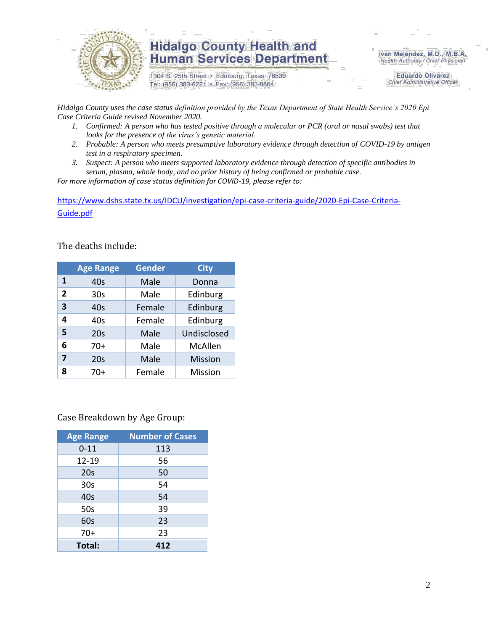

1304 S. 25th Street · Edinburg, Texas 78539 Tel: (956) 383-6221 · Fax: (956) 383-8864

Iván Meléndez, M.D., M.B.A. Health Authority / Chief Physician

> **Eduardo Olivarez Chief Administrative Officer**

*Hidalgo County uses the case status definition provided by the Texas Department of State Health Service's 2020 Epi Case Criteria Guide revised November 2020.*

- *1. Confirmed: A person who has tested positive through a molecular or PCR (oral or nasal swabs) test that looks for the presence of the virus's genetic material.*
- *2. Probable: A person who meets presumptive laboratory evidence through detection of COVID-19 by antigen test in a respiratory specimen.*
- *3. Suspect: A person who meets supported laboratory evidence through detection of specific antibodies in serum, plasma, whole body, and no prior history of being confirmed or probable case.*

*For more information of case status definition for COVID-19, please refer to:*

[https://www.dshs.state.tx.us/IDCU/investigation/epi-case-criteria-guide/2020-Epi-Case-Criteria-](https://www.dshs.state.tx.us/IDCU/investigation/epi-case-criteria-guide/2020-Epi-Case-Criteria-Guide.pdf)[Guide.pdf](https://www.dshs.state.tx.us/IDCU/investigation/epi-case-criteria-guide/2020-Epi-Case-Criteria-Guide.pdf)

The deaths include:

|                | <b>Age Range</b> | <b>Gender</b> | <b>City</b>    |
|----------------|------------------|---------------|----------------|
| 1              | 40s              | Male          | Donna          |
| $\overline{2}$ | 30 <sub>s</sub>  | Male          | Edinburg       |
| 3              | 40s              | Female        | Edinburg       |
| 4              | 40s              | Female        | Edinburg       |
| 5              | 20s              | Male          | Undisclosed    |
| 6              | $70+$            | Male          | McAllen        |
| 7              | 20s              | Male          | <b>Mission</b> |
| 8              | 70+              | Female        | Mission        |

Case Breakdown by Age Group:

| <b>Age Range</b> | <b>Number of Cases</b> |
|------------------|------------------------|
| $0 - 11$         | 113                    |
| 12-19            | 56                     |
| 20s              | 50                     |
| 30 <sub>s</sub>  | 54                     |
| 40s              | 54                     |
| 50s              | 39                     |
| 60s              | 23                     |
| $70+$            | 23                     |
| Total:           | 412                    |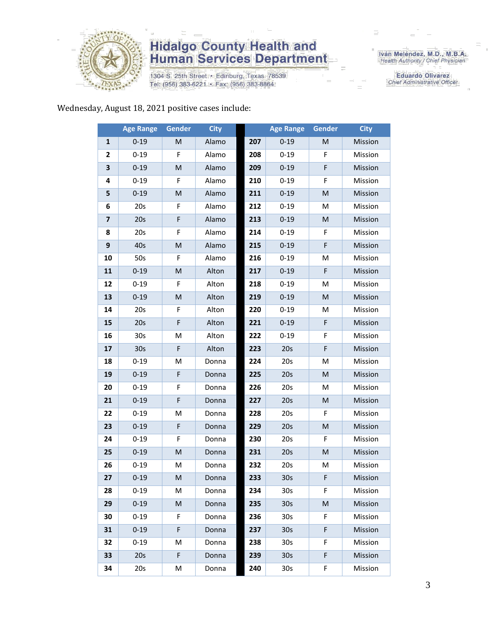

1304 S. 25th Street · Edinburg, Texas 78539 Tel: (956) 383-6221 · Fax: (956) 383-8864

Iván Meléndez, M.D., M.B.A.<br>Health Authority / Chief Physician

**Eduardo Olivarez** Chief Administrative Officer

#### Wednesday, August 18, 2021 positive cases include:

|                         | <b>Age Range</b> | Gender       | <b>City</b> |     | <b>Age Range</b> | Gender | <b>City</b> |
|-------------------------|------------------|--------------|-------------|-----|------------------|--------|-------------|
| $\mathbf{1}$            | $0 - 19$         | M            | Alamo       | 207 | $0 - 19$         | M      | Mission     |
| 2                       | $0 - 19$         | F            | Alamo       | 208 | $0 - 19$         | F      | Mission     |
| 3                       | $0 - 19$         | ${\sf M}$    | Alamo       | 209 | $0 - 19$         | F      | Mission     |
| 4                       | $0 - 19$         | F            | Alamo       | 210 | $0 - 19$         | F      | Mission     |
| 5                       | $0 - 19$         | M            | Alamo       | 211 | $0 - 19$         | M      | Mission     |
| 6                       | 20s              | F            | Alamo       | 212 | $0 - 19$         | M      | Mission     |
| $\overline{\mathbf{z}}$ | 20s              | $\mathsf F$  | Alamo       | 213 | $0 - 19$         | M      | Mission     |
| 8                       | 20s              | F            | Alamo       | 214 | $0 - 19$         | F      | Mission     |
| 9                       | 40s              | M            | Alamo       | 215 | $0 - 19$         | F      | Mission     |
| 10                      | 50s              | F            | Alamo       | 216 | $0 - 19$         | M      | Mission     |
| 11                      | $0 - 19$         | M            | Alton       | 217 | $0 - 19$         | F      | Mission     |
| 12                      | $0 - 19$         | F            | Alton       | 218 | $0 - 19$         | M      | Mission     |
| 13                      | $0 - 19$         | $\mathsf{M}$ | Alton       | 219 | $0 - 19$         | M      | Mission     |
| 14                      | 20s              | F            | Alton       | 220 | $0 - 19$         | Μ      | Mission     |
| 15                      | 20s              | F            | Alton       | 221 | $0 - 19$         | F      | Mission     |
| 16                      | 30 <sub>s</sub>  | M            | Alton       | 222 | $0 - 19$         | F      | Mission     |
| 17                      | 30 <sub>s</sub>  | F            | Alton       | 223 | 20s              | F      | Mission     |
| 18                      | $0 - 19$         | M            | Donna       | 224 | 20s              | М      | Mission     |
| 19                      | $0 - 19$         | F            | Donna       | 225 | 20s              | M      | Mission     |
| 20                      | $0 - 19$         | F            | Donna       | 226 | 20s              | M      | Mission     |
| 21                      | $0 - 19$         | $\mathsf F$  | Donna       | 227 | 20s              | M      | Mission     |
| 22                      | $0 - 19$         | M            | Donna       | 228 | 20s              | F      | Mission     |
| 23                      | $0 - 19$         | $\mathsf F$  | Donna       | 229 | 20s              | M      | Mission     |
| 24                      | $0 - 19$         | F            | Donna       | 230 | 20s              | F      | Mission     |
| 25                      | $0 - 19$         | ${\sf M}$    | Donna       | 231 | 20s              | M      | Mission     |
| 26                      | $0 - 19$         | M            | Donna       | 232 | 20s              | M      | Mission     |
| 27                      | $0 - 19$         | M            | Donna       | 233 | 30s              | F      | Mission     |
| 28                      | 0-19             | М            | Donna       | 234 | 30s              | F.     | Mission     |
| 29                      | $0 - 19$         | M            | Donna       | 235 | 30 <sub>s</sub>  | M      | Mission     |
| 30                      | $0 - 19$         | F            | Donna       | 236 | 30 <sub>s</sub>  | F      | Mission     |
| 31                      | $0 - 19$         | F            | Donna       | 237 | 30 <sub>s</sub>  | F      | Mission     |
| 32                      | $0 - 19$         | M            | Donna       | 238 | 30 <sub>s</sub>  | F      | Mission     |
| 33                      | 20s              | F            | Donna       | 239 | 30 <sub>s</sub>  | F      | Mission     |
| 34                      | 20s              | Μ            | Donna       | 240 | 30 <sub>s</sub>  | F      | Mission     |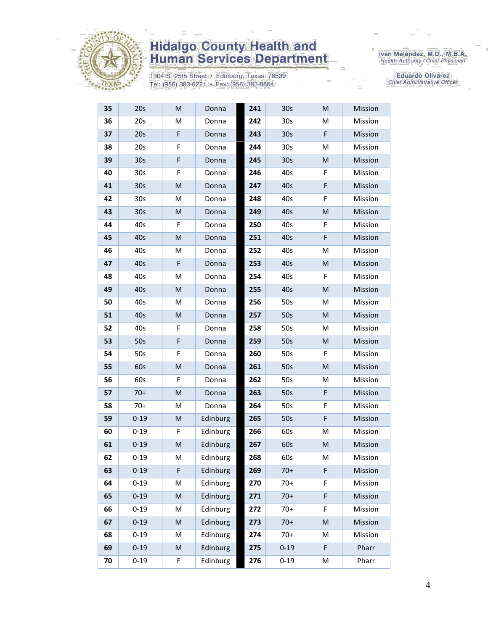

1304 S. 25th Street · Edinburg, Texas 78539 Tel: (956) 383-6221 · Fax: (956) 383-8864

Iván Meléndez, M.D., M.B.A.<br>Health Authority / Chief Physician

Eduardo Olivarez Chief Administrative Officer

| 35 | 20s             | M                                                                                                          | Donna    | 241 | 30 <sub>s</sub> | M | Mission |
|----|-----------------|------------------------------------------------------------------------------------------------------------|----------|-----|-----------------|---|---------|
| 36 | 20s             | M                                                                                                          | Donna    | 242 | 30 <sub>s</sub> | м | Mission |
| 37 | 20s             | F                                                                                                          | Donna    | 243 | 30 <sub>s</sub> | F | Mission |
| 38 | 20s             | F                                                                                                          | Donna    | 244 | 30 <sub>s</sub> | M | Mission |
| 39 | 30 <sub>s</sub> | F                                                                                                          | Donna    | 245 | 30 <sub>s</sub> | M | Mission |
| 40 | 30 <sub>s</sub> | F                                                                                                          | Donna    | 246 | 40s             | F | Mission |
| 41 | 30s             | ${\sf M}$                                                                                                  | Donna    | 247 | 40s             | F | Mission |
| 42 | 30 <sub>s</sub> | M                                                                                                          | Donna    | 248 | 40s             | F | Mission |
| 43 | 30 <sub>s</sub> | M                                                                                                          | Donna    | 249 | 40s             | M | Mission |
| 44 | 40s             | F                                                                                                          | Donna    | 250 | 40s             | F | Mission |
| 45 | 40s             | M                                                                                                          | Donna    | 251 | 40s             | F | Mission |
| 46 | 40s             | M                                                                                                          | Donna    | 252 | 40s             | M | Mission |
| 47 | 40s             | F                                                                                                          | Donna    | 253 | 40s             | M | Mission |
| 48 | 40s             | M                                                                                                          | Donna    | 254 | 40s             | F | Mission |
| 49 | 40s             | M                                                                                                          | Donna    | 255 | 40s             | M | Mission |
| 50 | 40s             | M                                                                                                          | Donna    | 256 | 50s             | Μ | Mission |
| 51 | 40s             | M                                                                                                          | Donna    | 257 | 50s             | M | Mission |
| 52 | 40s             | F                                                                                                          | Donna    | 258 | 50s             | M | Mission |
| 53 | 50s             | F                                                                                                          | Donna    | 259 | 50s             | M | Mission |
| 54 | 50s             | F                                                                                                          | Donna    | 260 | 50s             | F | Mission |
| 55 | 60s             | M                                                                                                          | Donna    | 261 | 50s             | M | Mission |
| 56 | 60s             | F                                                                                                          | Donna    | 262 | 50s             | Μ | Mission |
| 57 | $70+$           | M                                                                                                          | Donna    | 263 | 50s             | F | Mission |
| 58 | $70+$           | M                                                                                                          | Donna    | 264 | 50s             | F | Mission |
| 59 | $0 - 19$        | M                                                                                                          | Edinburg | 265 | 50s             | F | Mission |
| 60 | $0 - 19$        | F                                                                                                          | Edinburg | 266 | 60s             | м | Mission |
| 61 | $0 - 19$        | M                                                                                                          | Edinburg | 267 | 60s             | M | Mission |
| 62 | $0 - 19$        | M                                                                                                          | Edinburg | 268 | 60s             | Μ | Mission |
| 63 | $0 - 19$        | F                                                                                                          | Edinburg | 269 | $70+$           | F | Mission |
| 64 | $0 - 19$        | M                                                                                                          | Edinburg | 270 | $70+$           | F | Mission |
| 65 | $0 - 19$        | $\mathsf{M}% _{T}=\mathsf{M}_{T}\!\left( a,b\right) ,\ \mathsf{M}_{T}=\mathsf{M}_{T}\!\left( a,b\right) ,$ | Edinburg | 271 | $70+$           | F | Mission |
| 66 | $0 - 19$        | M                                                                                                          | Edinburg | 272 | $70+$           | F | Mission |
| 67 | $0 - 19$        | M                                                                                                          | Edinburg | 273 | $70+$           | M | Mission |
| 68 | $0 - 19$        | M                                                                                                          | Edinburg | 274 | $70+$           | Μ | Mission |
| 69 | $0 - 19$        | ${\sf M}$                                                                                                  | Edinburg | 275 | $0 - 19$        | F | Pharr   |
| 70 | $0 - 19$        | F                                                                                                          | Edinburg | 276 | $0 - 19$        | М | Pharr   |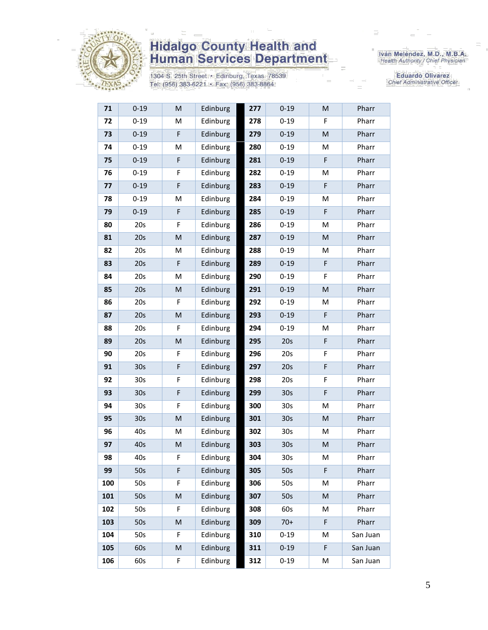

1304 S. 25th Street · Edinburg, Texas 78539 Tel: (956) 383-6221 · Fax: (956) 383-8864

Iván Meléndez, M.D., M.B.A.<br>Health Authority / Chief Physician

**Eduardo Olivarez** Chief Administrative Officer

| 71  | $0 - 19$        | M         | Edinburg | 277 | $0 - 19$        | M           | Pharr    |
|-----|-----------------|-----------|----------|-----|-----------------|-------------|----------|
| 72  | $0 - 19$        | M         | Edinburg | 278 | $0 - 19$        | F           | Pharr    |
| 73  | $0 - 19$        | F         | Edinburg | 279 | $0 - 19$        | M           | Pharr    |
| 74  | $0 - 19$        | M         | Edinburg | 280 | $0 - 19$        | M           | Pharr    |
| 75  | $0 - 19$        | F         | Edinburg | 281 | $0 - 19$        | F.          | Pharr    |
| 76  | $0 - 19$        | F         | Edinburg | 282 | $0 - 19$        | M           | Pharr    |
| 77  | $0 - 19$        | F         | Edinburg | 283 | $0 - 19$        | $\mathsf F$ | Pharr    |
| 78  | $0 - 19$        | M         | Edinburg | 284 | $0 - 19$        | М           | Pharr    |
| 79  | $0 - 19$        | F         | Edinburg | 285 | $0 - 19$        | F           | Pharr    |
| 80  | 20s             | F         | Edinburg | 286 | $0 - 19$        | M           | Pharr    |
| 81  | 20s             | ${\sf M}$ | Edinburg | 287 | $0 - 19$        | M           | Pharr    |
| 82  | 20s             | М         | Edinburg | 288 | $0 - 19$        | M           | Pharr    |
| 83  | 20s             | F         | Edinburg | 289 | $0 - 19$        | $\mathsf F$ | Pharr    |
| 84  | 20s             | M         | Edinburg | 290 | $0 - 19$        | F           | Pharr    |
| 85  | 20s             | M         | Edinburg | 291 | $0 - 19$        | M           | Pharr    |
| 86  | 20s             | F         | Edinburg | 292 | $0 - 19$        | Μ           | Pharr    |
| 87  | 20s             | M         | Edinburg | 293 | $0 - 19$        | $\mathsf F$ | Pharr    |
| 88  | 20s             | F         | Edinburg | 294 | $0 - 19$        | M           | Pharr    |
| 89  | 20s             | M         | Edinburg | 295 | 20s             | F           | Pharr    |
| 90  | 20s             | F         | Edinburg | 296 | 20s             | F           | Pharr    |
| 91  | 30 <sub>s</sub> | F         | Edinburg | 297 | 20s             | $\mathsf F$ | Pharr    |
| 92  | 30 <sub>s</sub> | F         | Edinburg | 298 | 20s             | F           | Pharr    |
| 93  | 30 <sub>s</sub> | F         | Edinburg | 299 | 30 <sub>s</sub> | F           | Pharr    |
| 94  | 30 <sub>s</sub> | F         | Edinburg | 300 | 30 <sub>s</sub> | M           | Pharr    |
| 95  | 30 <sub>s</sub> | M         | Edinburg | 301 | 30 <sub>s</sub> | M           | Pharr    |
| 96  | 40s             | М         | Edinburg | 302 | 30 <sub>s</sub> | Μ           | Pharr    |
| 97  | 40s             | M         | Edinburg | 303 | 30s             | M           | Pharr    |
| 98  | 40s             | F         | Edinburg | 304 | 30 <sub>s</sub> | М           | Pharr    |
| 99  | 50s             | F         | Edinburg | 305 | 50s             | F.          | Pharr    |
| 100 | 50s             | F         | Edinburg | 306 | 50s             | М           | Pharr    |
| 101 | 50s             | M         | Edinburg | 307 | 50s             | M           | Pharr    |
| 102 | 50s             | F         | Edinburg | 308 | 60s             | М           | Pharr    |
| 103 | 50s             | M         | Edinburg | 309 | $70+$           | F           | Pharr    |
| 104 | 50s             | F         | Edinburg | 310 | $0 - 19$        | M           | San Juan |
| 105 | 60s             | M         | Edinburg | 311 | $0 - 19$        | F           | San Juan |
| 106 | 60s             | F         | Edinburg | 312 | $0 - 19$        | Μ           | San Juan |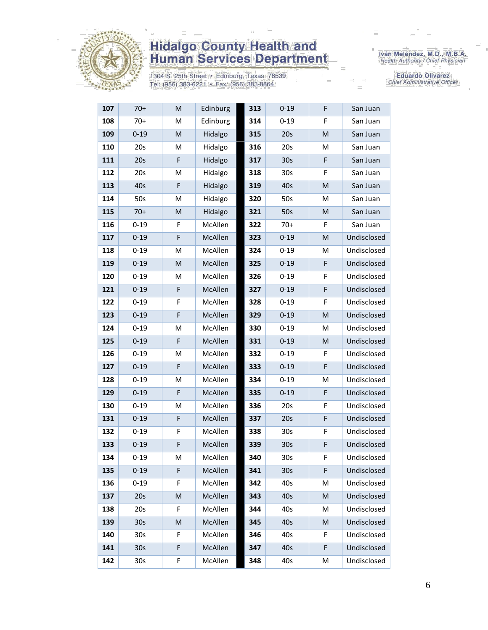

1304 S. 25th Street • Edinburg, Texas 78539<br>Tel: (956) 383-6221 • Fax: (956) 383-8864

Iván Meléndez, M.D., M.B.A.<br>Health Authority / Chief Physician

Eduardo Olivarez Chief Administrative Officer

| 107 | $70+$           | M | Edinburg | 313 | $0 - 19$        | F  | San Juan    |
|-----|-----------------|---|----------|-----|-----------------|----|-------------|
| 108 | $70+$           | M | Edinburg | 314 | $0 - 19$        | F  | San Juan    |
| 109 | $0 - 19$        | M | Hidalgo  | 315 | 20s             | M  | San Juan    |
| 110 | 20s             | M | Hidalgo  | 316 | 20s             | M  | San Juan    |
| 111 | 20s             | F | Hidalgo  | 317 | 30s             | F  | San Juan    |
| 112 | 20s             | M | Hidalgo  | 318 | 30 <sub>s</sub> | F  | San Juan    |
| 113 | 40s             | F | Hidalgo  | 319 | 40s             | M  | San Juan    |
| 114 | 50s             | M | Hidalgo  | 320 | 50s             | M  | San Juan    |
| 115 | $70+$           | M | Hidalgo  | 321 | 50s             | M  | San Juan    |
| 116 | $0 - 19$        | F | McAllen  | 322 | $70+$           | F  | San Juan    |
| 117 | $0 - 19$        | F | McAllen  | 323 | $0 - 19$        | M  | Undisclosed |
| 118 | $0 - 19$        | M | McAllen  | 324 | $0 - 19$        | M  | Undisclosed |
| 119 | $0 - 19$        | M | McAllen  | 325 | $0 - 19$        | F  | Undisclosed |
| 120 | $0 - 19$        | M | McAllen  | 326 | $0 - 19$        | F  | Undisclosed |
| 121 | $0 - 19$        | F | McAllen  | 327 | $0 - 19$        | F  | Undisclosed |
| 122 | $0 - 19$        | F | McAllen  | 328 | $0 - 19$        | F  | Undisclosed |
| 123 | $0 - 19$        | F | McAllen  | 329 | $0 - 19$        | M  | Undisclosed |
| 124 | $0 - 19$        | M | McAllen  | 330 | $0 - 19$        | M  | Undisclosed |
| 125 | $0 - 19$        | F | McAllen  | 331 | $0 - 19$        | M  | Undisclosed |
| 126 | $0 - 19$        | M | McAllen  | 332 | $0 - 19$        | F  | Undisclosed |
| 127 | $0 - 19$        | F | McAllen  | 333 | $0 - 19$        | F  | Undisclosed |
| 128 | $0 - 19$        | M | McAllen  | 334 | $0 - 19$        | M  | Undisclosed |
| 129 | $0 - 19$        | F | McAllen  | 335 | $0 - 19$        | F  | Undisclosed |
| 130 | $0 - 19$        | M | McAllen  | 336 | 20s             | F  | Undisclosed |
| 131 | $0 - 19$        | F | McAllen  | 337 | 20s             | F  | Undisclosed |
| 132 | $0 - 19$        | F | McAllen  | 338 | 30 <sub>s</sub> | F  | Undisclosed |
| 133 | $0 - 19$        | F | McAllen  | 339 | 30 <sub>s</sub> | F  | Undisclosed |
| 134 | $0 - 19$        | M | McAllen  | 340 | 30 <sub>s</sub> | F  | Undisclosed |
| 135 | $0 - 19$        | F | McAllen  | 341 | 30 <sub>s</sub> | F  | Undisclosed |
| 136 | $0 - 19$        | F | McAllen  | 342 | 40s             | M  | Undisclosed |
| 137 | 20s             | M | McAllen  | 343 | 40s             | M  | Undisclosed |
| 138 | 20s             | F | McAllen  | 344 | 40s             | M  | Undisclosed |
| 139 | 30 <sub>s</sub> | M | McAllen  | 345 | 40s             | M  | Undisclosed |
| 140 | 30 <sub>s</sub> | F | McAllen  | 346 | 40s             | F. | Undisclosed |
| 141 | 30 <sub>s</sub> | F | McAllen  | 347 | 40s             | F  | Undisclosed |
| 142 | 30s             | F | McAllen  | 348 | 40s             | М  | Undisclosed |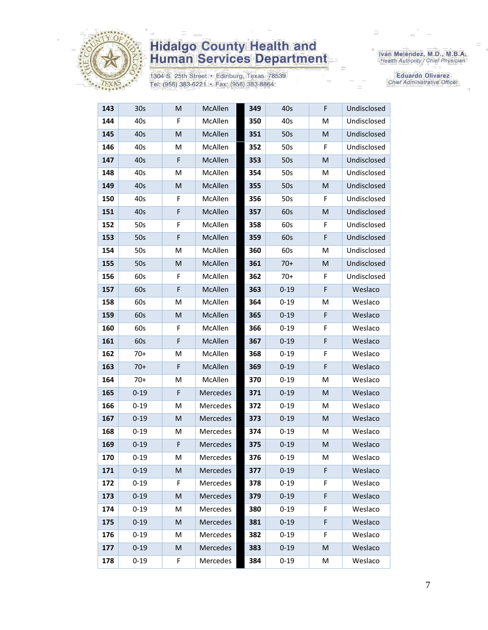

1304 S. 25th Street · Edinburg, Texas 78539 Tel: (956) 383-6221 · Fax: (956) 383-8864

Iván Meléndez, M.D., M.B.A.<br>Health Authority / Chief Physician

**Eduardo Olivarez** Chief Administrative Officer

| 143 | 30s      | M         | McAllen         | 349 | 40s      | F | Undisclosed |
|-----|----------|-----------|-----------------|-----|----------|---|-------------|
| 144 | 40s      | F         | McAllen         | 350 | 40s      | Μ | Undisclosed |
| 145 | 40s      | M         | McAllen         | 351 | 50s      | M | Undisclosed |
| 146 | 40s      | M         | McAllen         | 352 | 50s      | F | Undisclosed |
| 147 | 40s      | F         | <b>McAllen</b>  | 353 | 50s      | M | Undisclosed |
| 148 | 40s      | M         | McAllen         | 354 | 50s      | M | Undisclosed |
| 149 | 40s      | M         | McAllen         | 355 | 50s      | M | Undisclosed |
| 150 | 40s      | F         | <b>McAllen</b>  | 356 | 50s      | F | Undisclosed |
| 151 | 40s      | F         | McAllen         | 357 | 60s      | M | Undisclosed |
| 152 | 50s      | F         | McAllen         | 358 | 60s      | F | Undisclosed |
| 153 | 50s      | F         | McAllen         | 359 | 60s      | F | Undisclosed |
| 154 | 50s      | M         | McAllen         | 360 | 60s      | м | Undisclosed |
| 155 | 50s      | M         | McAllen         | 361 | $70+$    | M | Undisclosed |
| 156 | 60s      | F         | McAllen         | 362 | $70+$    | F | Undisclosed |
| 157 | 60s      | F         | McAllen         | 363 | $0 - 19$ | F | Weslaco     |
| 158 | 60s      | M         | McAllen         | 364 | $0 - 19$ | M | Weslaco     |
| 159 | 60s      | M         | McAllen         | 365 | $0 - 19$ | F | Weslaco     |
| 160 | 60s      | F         | McAllen         | 366 | $0 - 19$ | F | Weslaco     |
| 161 | 60s      | F         | McAllen         | 367 | $0 - 19$ | F | Weslaco     |
| 162 | $70+$    | M         | McAllen         | 368 | $0 - 19$ | F | Weslaco     |
| 163 | $70+$    | F         | McAllen         | 369 | $0 - 19$ | F | Weslaco     |
| 164 | $70+$    | M         | McAllen         | 370 | $0 - 19$ | M | Weslaco     |
| 165 | $0 - 19$ | F         | Mercedes        | 371 | $0 - 19$ | M | Weslaco     |
| 166 | $0 - 19$ | M         | Mercedes        | 372 | $0 - 19$ | M | Weslaco     |
| 167 | $0 - 19$ | M         | Mercedes        | 373 | $0 - 19$ | M | Weslaco     |
| 168 | $0 - 19$ | M         | Mercedes        | 374 | $0 - 19$ | M | Weslaco     |
| 169 | $0 - 19$ | F         | Mercedes        | 375 | $0 - 19$ | M | Weslaco     |
| 170 | $0 - 19$ | M         | <b>Mercedes</b> | 376 | $0 - 19$ | Μ | Weslaco     |
| 171 | $0 - 19$ | M         | Mercedes        | 377 | $0 - 19$ | F | Weslaco     |
| 172 | $0 - 19$ | F         | Mercedes        | 378 | $0 - 19$ | F | Weslaco     |
| 173 | $0 - 19$ | ${\sf M}$ | Mercedes        | 379 | $0 - 19$ | F | Weslaco     |
| 174 | $0 - 19$ | M         | Mercedes        | 380 | $0 - 19$ | F | Weslaco     |
| 175 | $0 - 19$ | ${\sf M}$ | Mercedes        | 381 | $0 - 19$ | F | Weslaco     |
| 176 | $0 - 19$ | M         | Mercedes        | 382 | $0 - 19$ | F | Weslaco     |
| 177 | $0 - 19$ | M         | Mercedes        | 383 | $0 - 19$ | M | Weslaco     |
| 178 | $0 - 19$ | F         | Mercedes        | 384 | $0 - 19$ | М | Weslaco     |